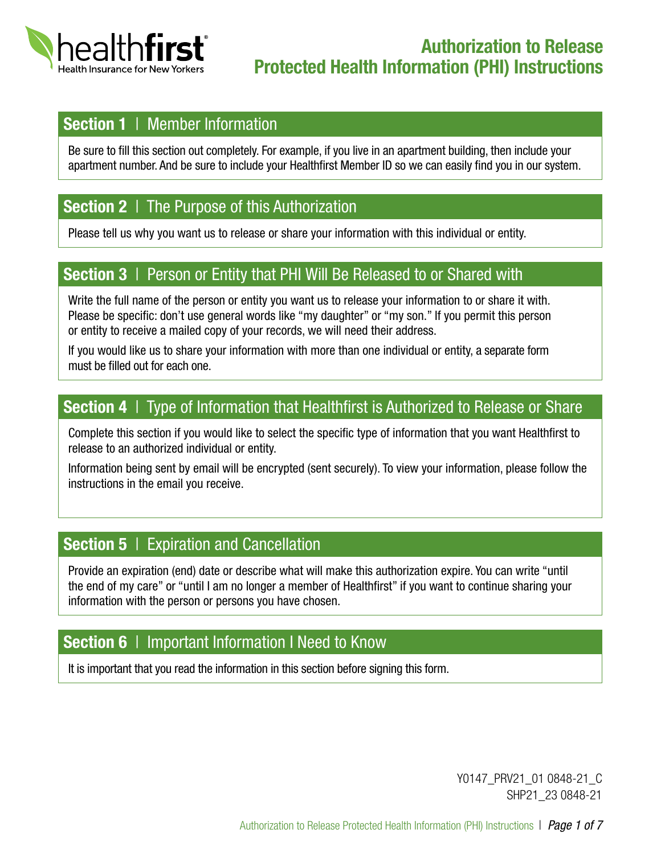

## Section 1 | Member Information

Be sure to fill this section out completely. For example, if you live in an apartment building, then include your apartment number. And be sure to include your Healthfirst Member ID so we can easily find you in our system.

## Section 2 | The Purpose of this Authorization

Please tell us why you want us to release or share your information with this individual or entity.

### Section 3 | Person or Entity that PHI Will Be Released to or Shared with

Write the full name of the person or entity you want us to release your information to or share it with. Please be specific: don't use general words like "my daughter" or "my son." If you permit this person or entity to receive a mailed copy of your records, we will need their address.

If you would like us to share your information with more than one individual or entity, a separate form must be filled out for each one.

### Section 4 | Type of Information that Healthfirst is Authorized to Release or Share

Complete this section if you would like to select the specific type of information that you want Healthfirst to release to an authorized individual or entity.

Information being sent by email will be encrypted (sent securely). To view your information, please follow the instructions in the email you receive.

## **Section 5** | Expiration and Cancellation

Provide an expiration (end) date or describe what will make this authorization expire. You can write "until the end of my care" or "until I am no longer a member of Healthfirst" if you want to continue sharing your information with the person or persons you have chosen.

### Section 6 | Important Information I Need to Know

It is important that you read the information in this section before signing this form.

Y0147\_PRV21\_01 0848-21\_C SHP21\_23 0848-21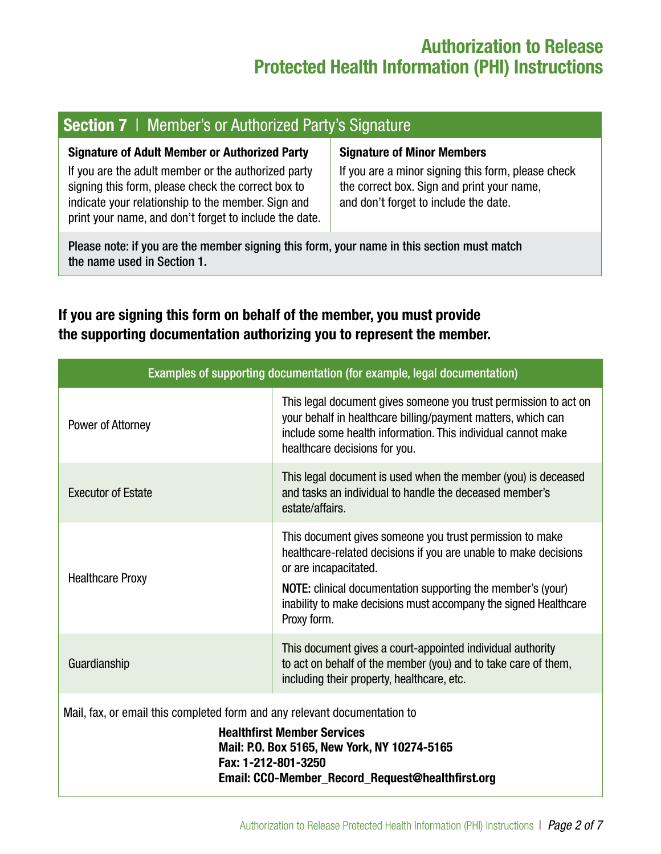## Authorization to Release Protected Health Information (PHI) Instructions

## Section 7 | Member's or Authorized Party's Signature

| <b>Signature of Adult Member or Authorized Party</b>                                                                                                                                                                      | <b>Signature of Minor Members</b>                                                                                                         |  |
|---------------------------------------------------------------------------------------------------------------------------------------------------------------------------------------------------------------------------|-------------------------------------------------------------------------------------------------------------------------------------------|--|
| If you are the adult member or the authorized party<br>signing this form, please check the correct box to<br>indicate your relationship to the member. Sign and<br>print your name, and don't forget to include the date. | If you are a minor signing this form, please check<br>the correct box. Sign and print your name,<br>and don't forget to include the date. |  |
| Please note; if you are the member signing this form your name in this section must match                                                                                                                                 |                                                                                                                                           |  |

Please note: if you are the member signing this form, your name in this section must match the name used in Section 1.

### If you are signing this form on behalf of the member, you must provide the supporting documentation authorizing you to represent the member.

| Examples of supporting documentation (for example, legal documentation)                                                                                                                                                                    |                                                                                                                                                                                                                                                                                                         |  |
|--------------------------------------------------------------------------------------------------------------------------------------------------------------------------------------------------------------------------------------------|---------------------------------------------------------------------------------------------------------------------------------------------------------------------------------------------------------------------------------------------------------------------------------------------------------|--|
| Power of Attorney                                                                                                                                                                                                                          | This legal document gives someone you trust permission to act on<br>your behalf in healthcare billing/payment matters, which can<br>include some health information. This individual cannot make<br>healthcare decisions for you.                                                                       |  |
| <b>Executor of Estate</b>                                                                                                                                                                                                                  | This legal document is used when the member (you) is deceased<br>and tasks an individual to handle the deceased member's<br>estate/affairs.                                                                                                                                                             |  |
| <b>Healthcare Proxy</b>                                                                                                                                                                                                                    | This document gives someone you trust permission to make<br>healthcare-related decisions if you are unable to make decisions<br>or are incapacitated.<br>NOTE: clinical documentation supporting the member's (your)<br>inability to make decisions must accompany the signed Healthcare<br>Proxy form. |  |
| Guardianship                                                                                                                                                                                                                               | This document gives a court-appointed individual authority<br>to act on behalf of the member (you) and to take care of them,<br>including their property, healthcare, etc.                                                                                                                              |  |
| Mail, fax, or email this completed form and any relevant documentation to<br><b>Healthfirst Member Services</b><br>Mail: P.O. Box 5165, New York, NY 10274-5165<br>Fax: 1-212-801-3250<br>Email: CCO-Member Record Request@healthfirst.org |                                                                                                                                                                                                                                                                                                         |  |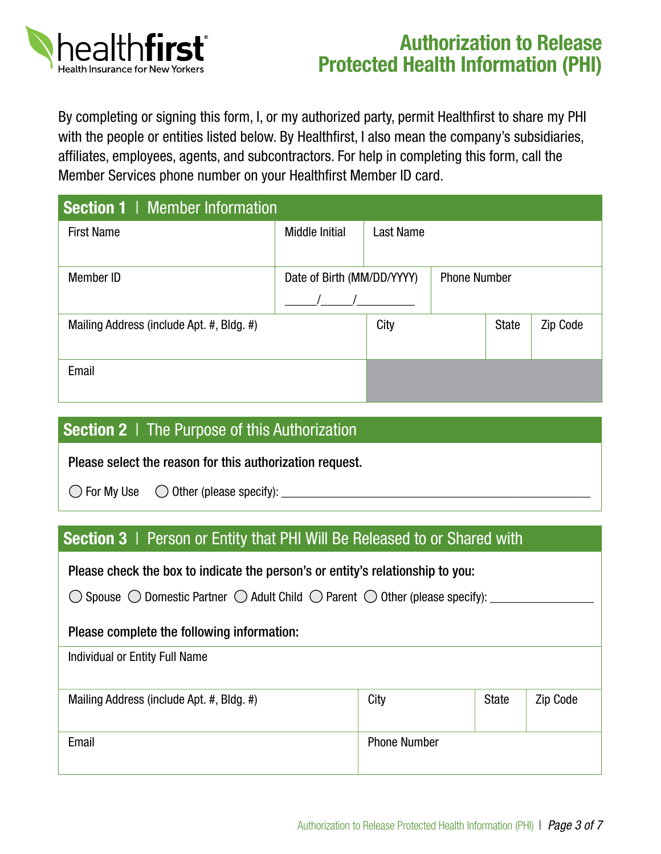

# Authorization to Release Protected Health Information (PHI)

By completing or signing this form, I, or my authorized party, permit Healthfirst to share my PHI with the people or entities listed below. By Healthfirst, I also mean the company's subsidiaries, affiliates, employees, agents, and subcontractors. For help in completing this form, call the Member Services phone number on your Healthfirst Member ID card.

| Section 1   Member Information            |                            |           |                     |              |          |
|-------------------------------------------|----------------------------|-----------|---------------------|--------------|----------|
| <b>First Name</b>                         | <b>Middle Initial</b>      | Last Name |                     |              |          |
| Member ID                                 | Date of Birth (MM/DD/YYYY) |           | <b>Phone Number</b> |              |          |
| Mailing Address (include Apt. #, Bldg. #) |                            | City      |                     | <b>State</b> | Zip Code |
| Email                                     |                            |           |                     |              |          |

| <b>Section 2</b>   The Purpose of this Authorization |                                                          |  |
|------------------------------------------------------|----------------------------------------------------------|--|
|                                                      | Please select the reason for this authorization request. |  |
|                                                      | $\bigcirc$ For My Use $\bigcirc$ Other (please specify): |  |

### Section 3 | Person or Entity that PHI Will Be Released to or Shared with

#### Please check the box to indicate the person's or entity's relationship to you:

| $\bigcirc$ Spouse $\bigcirc$ Domestic Partner $\bigcirc$ Adult Child $\bigcirc$ Parent $\bigcirc$ Other (please specify): |  |  |
|---------------------------------------------------------------------------------------------------------------------------|--|--|
| Please complete the following information:                                                                                |  |  |
| Individual or Entity Full Name                                                                                            |  |  |

| Mailing Address (include Apt. #, Bldg. #) | City                | <b>State</b> | Zip Code |
|-------------------------------------------|---------------------|--------------|----------|
| Email                                     | <b>Phone Number</b> |              |          |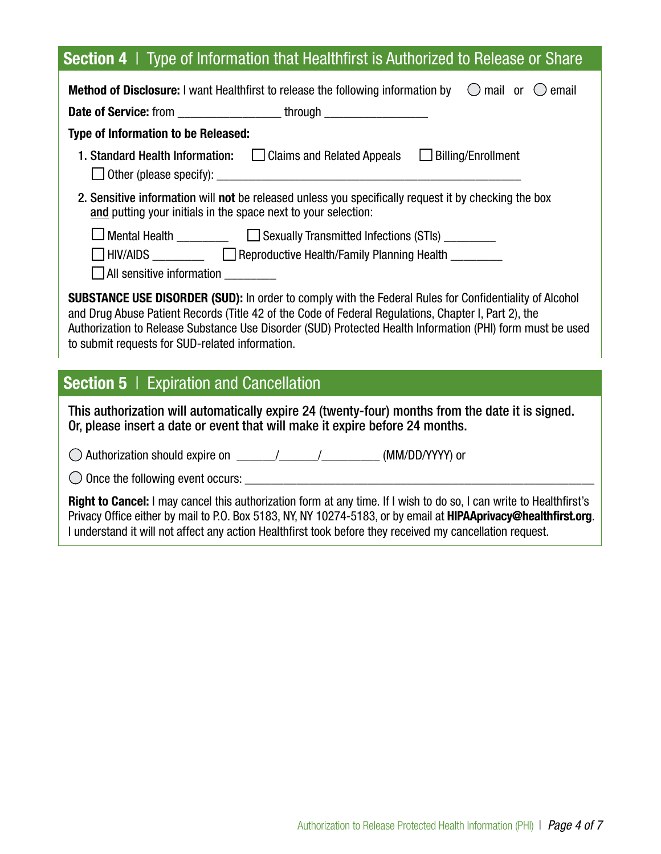## Section 4 | Type of Information that Healthfirst is Authorized to Release or Share

| <b>Method of Disclosure:</b> I want Healthfirst to release the following information by $\heartsuit$ mail or $\heartsuit$ email                                                                                                                                                                                                                                                        |  |  |
|----------------------------------------------------------------------------------------------------------------------------------------------------------------------------------------------------------------------------------------------------------------------------------------------------------------------------------------------------------------------------------------|--|--|
| <b>Date of Service:</b> from ______________________through ___________________________                                                                                                                                                                                                                                                                                                 |  |  |
| Type of Information to be Released:                                                                                                                                                                                                                                                                                                                                                    |  |  |
| 1. Standard Health Information: [   Claims and Related Appeals   Billing/Enrollment                                                                                                                                                                                                                                                                                                    |  |  |
| 2. Sensitive information will not be released unless you specifically request it by checking the box<br>and putting your initials in the space next to your selection:                                                                                                                                                                                                                 |  |  |
| Mental Health ____________ [Sexually Transmitted Infections (STIs) _________<br>□ HIV/AIDS __________  □ Reproductive Health/Family Planning Health _________<br>All sensitive information                                                                                                                                                                                             |  |  |
| <b>SUBSTANCE USE DISORDER (SUD):</b> In order to comply with the Federal Rules for Confidentiality of Alcohol<br>and Drug Abuse Patient Records (Title 42 of the Code of Federal Regulations, Chapter I, Part 2), the<br>Authorization to Release Substance Use Disorder (SUD) Protected Health Information (PHI) form must be used<br>to submit requests for SUD-related information. |  |  |
| <b>Section 5</b>   Expiration and Cancellation                                                                                                                                                                                                                                                                                                                                         |  |  |
| This authorization will automatically expire 24 (twenty-four) months from the date it is signed.<br>Or, please insert a date or event that will make it expire before 24 months.                                                                                                                                                                                                       |  |  |

 $\bigcirc$  Authorization should expire on  $\frac{1}{\sqrt{1-\frac{1}{2}}}\$  (MM/DD/YYYY) or

Once the following event occurs: \_\_\_\_\_\_\_\_\_\_\_\_\_\_\_\_\_\_\_\_\_\_\_\_\_\_\_\_\_\_\_\_\_\_\_\_\_\_\_\_\_\_\_\_\_\_\_\_\_\_\_\_\_\_

Right to Cancel: I may cancel this authorization form at any time. If I wish to do so, I can write to Healthfirst's Privacy Office either by mail to P.O. Box 5183, NY, NY 10274-5183, or by email at [HIPAAprivacy@healthfirst.org](mailto:HIPAAprivacy%40healthfirst.org.?subject=). I understand it will not affect any action Healthfirst took before they received my cancellation request.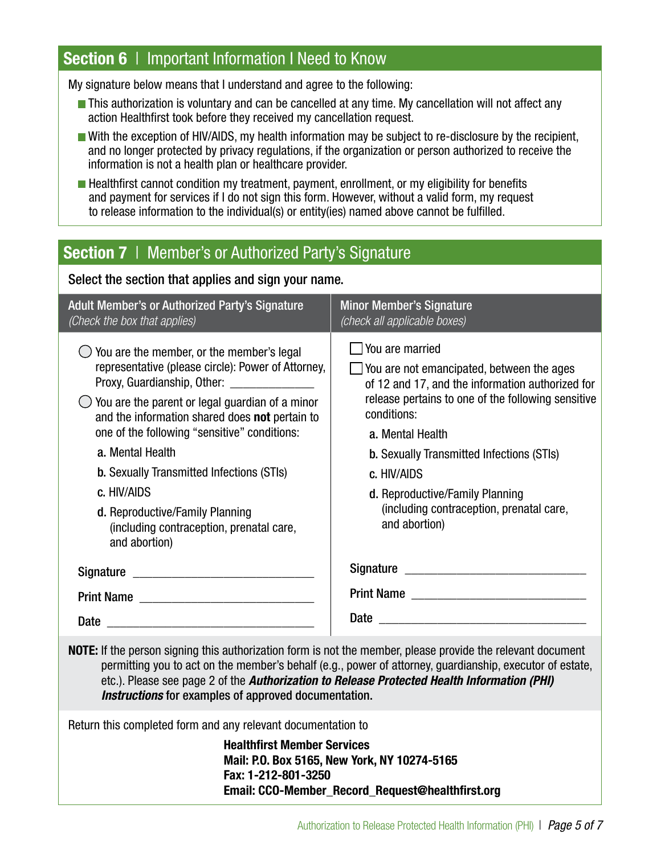### Section 6 | Important Information I Need to Know

My signature below means that I understand and agree to the following:

- **This authorization is voluntary and can be cancelled at any time. My cancellation will not affect any** action Healthfirst took before they received my cancellation request.
- With the exception of HIV/AIDS, my health information may be subject to re-disclosure by the recipient, and no longer protected by privacy regulations, if the organization or person authorized to receive the information is not a health plan or healthcare provider.
- $\blacksquare$  Healthfirst cannot condition my treatment, payment, enrollment, or my eligibility for benefits and payment for services if I do not sign this form. However, without a valid form, my request to release information to the individual(s) or entity(ies) named above cannot be fulfilled.

## **Section 7** | Member's or Authorized Party's Signature

| Select the section that applies and sign your name.                                                                                                                                                                                                                                                                                                                                                                                                                                       |                                                                                                                                                                                                                                                                                                                                                                                            |  |
|-------------------------------------------------------------------------------------------------------------------------------------------------------------------------------------------------------------------------------------------------------------------------------------------------------------------------------------------------------------------------------------------------------------------------------------------------------------------------------------------|--------------------------------------------------------------------------------------------------------------------------------------------------------------------------------------------------------------------------------------------------------------------------------------------------------------------------------------------------------------------------------------------|--|
| <b>Adult Member's or Authorized Party's Signature</b><br>(Check the box that applies)                                                                                                                                                                                                                                                                                                                                                                                                     | <b>Minor Member's Signature</b><br>(check all applicable boxes)                                                                                                                                                                                                                                                                                                                            |  |
| You are the member, or the member's legal<br>representative (please circle): Power of Attorney,<br>Proxy, Guardianship, Other: 2000 2010 2020<br>You are the parent or legal guardian of a minor<br>and the information shared does not pertain to<br>one of the following "sensitive" conditions:<br>a. Mental Health<br><b>b.</b> Sexually Transmitted Infections (STIs)<br>c. HIV/AIDS<br>d. Reproductive/Family Planning<br>(including contraception, prenatal care,<br>and abortion) | $\Box$ You are married<br>$\Box$ You are not emancipated, between the ages<br>of 12 and 17, and the information authorized for<br>release pertains to one of the following sensitive<br>conditions:<br>a. Mental Health<br><b>b.</b> Sexually Transmitted Infections (STIs)<br>c. HIV/AIDS<br>d. Reproductive/Family Planning<br>(including contraception, prenatal care,<br>and abortion) |  |
|                                                                                                                                                                                                                                                                                                                                                                                                                                                                                           |                                                                                                                                                                                                                                                                                                                                                                                            |  |
|                                                                                                                                                                                                                                                                                                                                                                                                                                                                                           |                                                                                                                                                                                                                                                                                                                                                                                            |  |
|                                                                                                                                                                                                                                                                                                                                                                                                                                                                                           |                                                                                                                                                                                                                                                                                                                                                                                            |  |
| ورجية ومرجلة والمستلوث والمراجع والملط والمتعارض والمتحدود                                                                                                                                                                                                                                                                                                                                                                                                                                | ورزوع والمستور والمستمراط والمترومين ومحمولين سموا ومسموما والملاطم                                                                                                                                                                                                                                                                                                                        |  |

NOTE: If the person signing this authorization form is not the member, please provide the relevant document permitting you to act on the member's behalf (e.g., power of attorney, guardianship, executor of estate, etc.). Please see page 2 of the *Authorization to Release Protected Health Information (PHI) Instructions* for examples of approved documentation.

Return this completed form and any relevant documentation to

Healthfirst Member Services Mail: P.O. Box 5165, New York, NY 10274-5165 Fax: 1-212-801-3250 Email: CCO-Member\_Record\_Request@healthfirst.org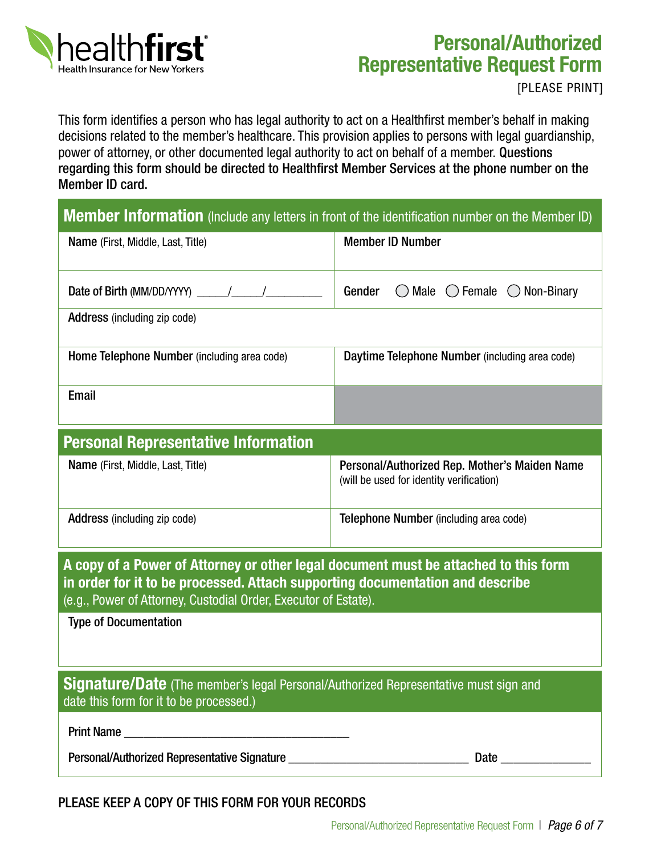

# Personal/Authorized Representative Request Form

[PLEASE PRINT]

This form identifies a person who has legal authority to act on a Healthfirst member's behalf in making decisions related to the member's healthcare. This provision applies to persons with legal guardianship, power of attorney, or other documented legal authority to act on behalf of a member. Questions regarding this form should be directed to Healthfirst Member Services at the phone number on the Member ID card.

| <b>Member Information</b> (Include any letters in front of the identification number on the Member ID) |
|--------------------------------------------------------------------------------------------------------|
|--------------------------------------------------------------------------------------------------------|

| Name (First, Middle, Last, Title)                                                                                                                                                                                                       | <b>Member ID Number</b>                                                                   |  |  |
|-----------------------------------------------------------------------------------------------------------------------------------------------------------------------------------------------------------------------------------------|-------------------------------------------------------------------------------------------|--|--|
| Date of Birth (MM/DD/YYYY) _____/_____/                                                                                                                                                                                                 | Gender $\bigcirc$ Male $\bigcirc$ Female $\bigcirc$ Non-Binary                            |  |  |
| <b>Address</b> (including zip code)                                                                                                                                                                                                     |                                                                                           |  |  |
| Home Telephone Number (including area code)                                                                                                                                                                                             | Daytime Telephone Number (including area code)                                            |  |  |
| <b>Email</b>                                                                                                                                                                                                                            |                                                                                           |  |  |
| <b>Personal Representative Information</b>                                                                                                                                                                                              |                                                                                           |  |  |
| Name (First, Middle, Last, Title)                                                                                                                                                                                                       | Personal/Authorized Rep. Mother's Maiden Name<br>(will be used for identity verification) |  |  |
| <b>Address</b> (including zip code)                                                                                                                                                                                                     | Telephone Number (including area code)                                                    |  |  |
| A copy of a Power of Attorney or other legal document must be attached to this form<br>in order for it to be processed. Attach supporting documentation and describe<br>(e.g., Power of Attorney, Custodial Order, Executor of Estate). |                                                                                           |  |  |
| <b>Type of Documentation</b>                                                                                                                                                                                                            |                                                                                           |  |  |
| Signature/Date (The member's legal Personal/Authorized Representative must sign and<br>date this form for it to be processed.)                                                                                                          |                                                                                           |  |  |
| Print Name <u>experience</u> and the series of the series of the series of the series of the series of the series of the series of the series of the series of the series of the series of the series of the series of the series o     |                                                                                           |  |  |
| Personal/Authorized Representative Signature                                                                                                                                                                                            | <b>Date</b>                                                                               |  |  |

#### PLEASE KEEP A COPY OF THIS FORM FOR YOUR RECORDS